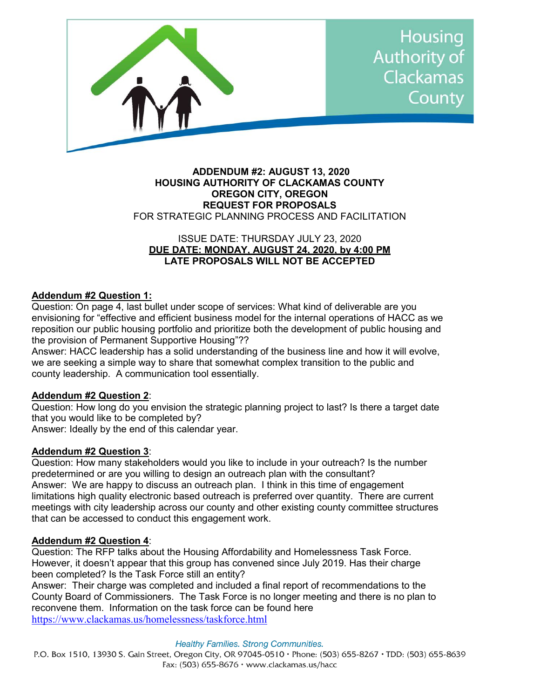

### **ADDENDUM #2: AUGUST 13, 2020 HOUSING AUTHORITY OF CLACKAMAS COUNTY OREGON CITY, OREGON REQUEST FOR PROPOSALS** FOR STRATEGIC PLANNING PROCESS AND FACILITATION

# ISSUE DATE: THURSDAY JULY 23, 2020 **DUE DATE: MONDAY, AUGUST 24, 2020, by 4:00 PM LATE PROPOSALS WILL NOT BE ACCEPTED**

# **Addendum #2 Question 1:**

Question: On page 4, last bullet under scope of services: What kind of deliverable are you envisioning for "effective and efficient business model for the internal operations of HACC as we reposition our public housing portfolio and prioritize both the development of public housing and the provision of Permanent Supportive Housing"??

Answer: HACC leadership has a solid understanding of the business line and how it will evolve, we are seeking a simple way to share that somewhat complex transition to the public and county leadership. A communication tool essentially.

# **Addendum #2 Question 2**:

Question: How long do you envision the strategic planning project to last? Is there a target date that you would like to be completed by?

Answer: Ideally by the end of this calendar year.

# **Addendum #2 Question 3**:

Question: How many stakeholders would you like to include in your outreach? Is the number predetermined or are you willing to design an outreach plan with the consultant? Answer: We are happy to discuss an outreach plan. I think in this time of engagement limitations high quality electronic based outreach is preferred over quantity. There are current meetings with city leadership across our county and other existing county committee structures that can be accessed to conduct this engagement work.

# **Addendum #2 Question 4**:

Question: The RFP talks about the Housing Affordability and Homelessness Task Force. However, it doesn't appear that this group has convened since July 2019. Has their charge been completed? Is the Task Force still an entity?

Answer: Their charge was completed and included a final report of recommendations to the County Board of Commissioners. The Task Force is no longer meeting and there is no plan to reconvene them. Information on the task force can be found here <https://www.clackamas.us/homelessness/taskforce.html>

#### **Healthy Families. Strong Communities.**

P.O. Box 1510, 13930 S. Gain Street, Oregon City, OR 97045-0510 · Phone: (503) 655-8267 · TDD: (503) 655-8639 Fax:  $(503)$  655-8676 • www.clackamas.us/hacc